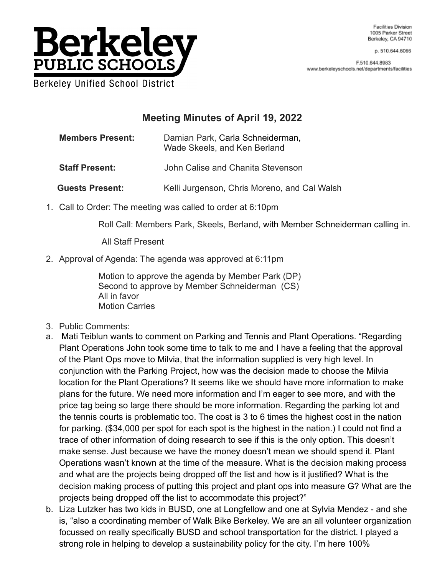

p. 510.644.6066

F.510.644.8983 www.berkeleyschools.net/departments/facilities

# **Meeting Minutes of April 19, 2022**

**Members Present:** Damian Park, Carla Schneiderman, Wade Skeels, and Ken Berland

**Staff Present:** John Calise and Chanita Stevenson

Guests Present: Kelli Jurgenson, Chris Moreno, and Cal Walsh

1. Call to Order: The meeting was called to order at 6:10pm

Roll Call: Members Park, Skeels, Berland, with Member Schneiderman calling in.

All Staff Present

2. Approval of Agenda: The agenda was approved at 6:11pm

Motion to approve the agenda by Member Park (DP) Second to approve by Member Schneiderman (CS) All in favor Motion Carries

- 3. Public Comments:
- a. Mati Teiblun wants to comment on Parking and Tennis and Plant Operations. "Regarding Plant Operations John took some time to talk to me and I have a feeling that the approval of the Plant Ops move to Milvia, that the information supplied is very high level. In conjunction with the Parking Project, how was the decision made to choose the Milvia location for the Plant Operations? It seems like we should have more information to make plans for the future. We need more information and I'm eager to see more, and with the price tag being so large there should be more information. Regarding the parking lot and the tennis courts is problematic too. The cost is 3 to 6 times the highest cost in the nation for parking. (\$34,000 per spot for each spot is the highest in the nation.) I could not find a trace of other information of doing research to see if this is the only option. This doesn't make sense. Just because we have the money doesn't mean we should spend it. Plant Operations wasn't known at the time of the measure. What is the decision making process and what are the projects being dropped off the list and how is it justified? What is the decision making process of putting this project and plant ops into measure G? What are the projects being dropped off the list to accommodate this project?"
- b. Liza Lutzker has two kids in BUSD, one at Longfellow and one at Sylvia Mendez and she is, "also a coordinating member of Walk Bike Berkeley. We are an all volunteer organization focussed on really specifically BUSD and school transportation for the district. I played a strong role in helping to develop a sustainability policy for the city. I'm here 100%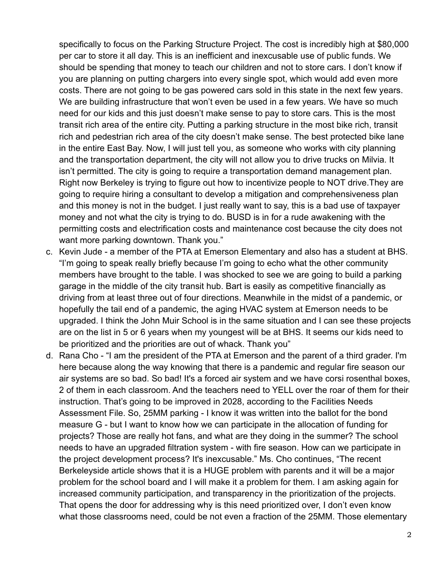specifically to focus on the Parking Structure Project. The cost is incredibly high at \$80,000 per car to store it all day. This is an inefficient and inexcusable use of public funds. We should be spending that money to teach our children and not to store cars. I don't know if you are planning on putting chargers into every single spot, which would add even more costs. There are not going to be gas powered cars sold in this state in the next few years. We are building infrastructure that won't even be used in a few years. We have so much need for our kids and this just doesn't make sense to pay to store cars. This is the most transit rich area of the entire city. Putting a parking structure in the most bike rich, transit rich and pedestrian rich area of the city doesn't make sense. The best protected bike lane in the entire East Bay. Now, I will just tell you, as someone who works with city planning and the transportation department, the city will not allow you to drive trucks on Milvia. It isn't permitted. The city is going to require a transportation demand management plan. Right now Berkeley is trying to figure out how to incentivize people to NOT drive.They are going to require hiring a consultant to develop a mitigation and comprehensiveness plan and this money is not in the budget. I just really want to say, this is a bad use of taxpayer money and not what the city is trying to do. BUSD is in for a rude awakening with the permitting costs and electrification costs and maintenance cost because the city does not want more parking downtown. Thank you."

- c. Kevin Jude a member of the PTA at Emerson Elementary and also has a student at BHS. "I'm going to speak really briefly because I'm going to echo what the other community members have brought to the table. I was shocked to see we are going to build a parking garage in the middle of the city transit hub. Bart is easily as competitive financially as driving from at least three out of four directions. Meanwhile in the midst of a pandemic, or hopefully the tail end of a pandemic, the aging HVAC system at Emerson needs to be upgraded. I think the John Muir School is in the same situation and I can see these projects are on the list in 5 or 6 years when my youngest will be at BHS. It seems our kids need to be prioritized and the priorities are out of whack. Thank you"
- d. Rana Cho "I am the president of the PTA at Emerson and the parent of a third grader. I'm here because along the way knowing that there is a pandemic and regular fire season our air systems are so bad. So bad! It's a forced air system and we have corsi rosenthal boxes, 2 of them in each classroom. And the teachers need to YELL over the roar of them for their instruction. That's going to be improved in 2028, according to the Facilities Needs Assessment File. So, 25MM parking - I know it was written into the ballot for the bond measure G - but I want to know how we can participate in the allocation of funding for projects? Those are really hot fans, and what are they doing in the summer? The school needs to have an upgraded filtration system - with fire season. How can we participate in the project development process? It's inexcusable." Ms. Cho continues, "The recent Berkeleyside article shows that it is a HUGE problem with parents and it will be a major problem for the school board and I will make it a problem for them. I am asking again for increased community participation, and transparency in the prioritization of the projects. That opens the door for addressing why is this need prioritized over, I don't even know what those classrooms need, could be not even a fraction of the 25MM. Those elementary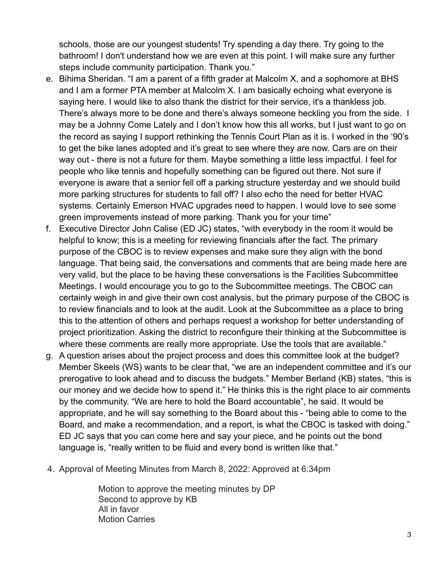schools, those are our youngest students! Try spending a day there. Try going to the bathroom! I don't understand how we are even at this point. I will make sure any further steps include community participation. Thank you."

- e. Bihima Sheridan. "I am a parent of a fifth grader at Malcolm X, and a sophomore at BHS and I am a former PTA member at Malcolm X. I am basically echoing what everyone is saying here. I would like to also thank the district for their service, it's a thankless job. There's always more to be done and there's always someone heckling you from the side. I may be a Johnny Come Lately and I don't know how this all works, but I just want to go on the record as saying I support rethinking the Tennis Court Plan as it is. I worked in the '90's to get the bike lanes adopted and it's great to see where they are now. Cars are on their way out - there is not a future for them. Maybe something a little less impactful. I feel for people who like tennis and hopefully something can be figured out there. Not sure if everyone is aware that a senior fell off a parking structure yesterday and we should build more parking structures for students to fall off? I also echo the need for better HVAC systems. Certainly Emerson HVAC upgrades need to happen. I would love to see some green improvements instead of more parking. Thank you for your time"
- f. Executive Director John Calise (ED JC) states, "with everybody in the room it would be helpful to know; this is a meeting for reviewing financials after the fact. The primary purpose of the CBOC is to review expenses and make sure they align with the bond language. That being said, the conversations and comments that are being made here are very valid, but the place to be having these conversations is the Facilities Subcommittee Meetings. I would encourage you to go to the Subcommittee meetings. The CBOC can certainly weigh in and give their own cost analysis, but the primary purpose of the CBOC is to review financials and to look at the audit. Look at the Subcommittee as a place to bring this to the attention of others and perhaps request a workshop for better understanding of project prioritization. Asking the district to reconfigure their thinking at the Subcommittee is where these comments are really more appropriate. Use the tools that are available."
- g. A question arises about the project process and does this committee look at the budget? Member Skeels (WS) wants to be clear that, "we are an independent committee and it's our prerogative to look ahead and to discuss the budgets." Member Berland (KB) states, "this is our money and we decide how to spend it." He thinks this is the right place to air comments by the community. "We are here to hold the Board accountable", he said. It would be appropriate, and he will say something to the Board about this - "being able to come to the Board, and make a recommendation, and a report, is what the CBOC is tasked with doing." ED JC says that you can come here and say your piece, and he points out the bond language is, "really written to be fluid and every bond is written like that."
- 4. Approval of Meeting Minutes from March 8, 2022: Approved at 6:34pm

Motion to approve the meeting minutes by DP Second to approve by KB All in favor Motion Carries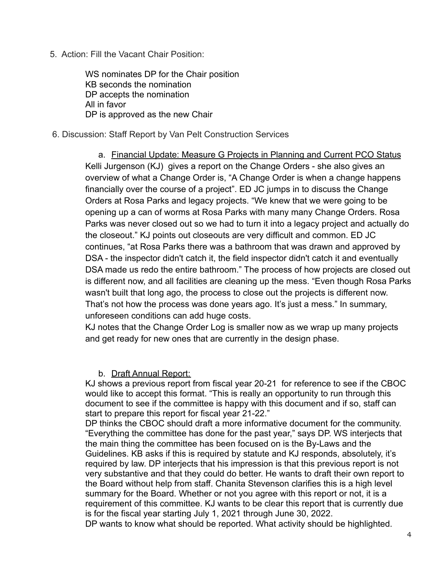5. Action: Fill the Vacant Chair Position:

WS nominates DP for the Chair position KB seconds the nomination DP accepts the nomination All in favor DP is approved as the new Chair

#### 6. Discussion: Staff Report by Van Pelt Construction Services

a. Financial Update: Measure G Projects in Planning and Current PCO Status Kelli Jurgenson (KJ) gives a report on the Change Orders - she also gives an overview of what a Change Order is, "A Change Order is when a change happens financially over the course of a project". ED JC jumps in to discuss the Change Orders at Rosa Parks and legacy projects. "We knew that we were going to be opening up a can of worms at Rosa Parks with many many Change Orders. Rosa Parks was never closed out so we had to turn it into a legacy project and actually do the closeout." KJ points out closeouts are very difficult and common. ED JC continues, "at Rosa Parks there was a bathroom that was drawn and approved by DSA - the inspector didn't catch it, the field inspector didn't catch it and eventually DSA made us redo the entire bathroom." The process of how projects are closed out is different now, and all facilities are cleaning up the mess. "Even though Rosa Parks wasn't built that long ago, the process to close out the projects is different now. That's not how the process was done years ago. It's just a mess." In summary, unforeseen conditions can add huge costs.

KJ notes that the Change Order Log is smaller now as we wrap up many projects and get ready for new ones that are currently in the design phase.

### b. Draft Annual Report:

KJ shows a previous report from fiscal year 20-21 for reference to see if the CBOC would like to accept this format. "This is really an opportunity to run through this document to see if the committee is happy with this document and if so, staff can start to prepare this report for fiscal year 21-22."

DP thinks the CBOC should draft a more informative document for the community. "Everything the committee has done for the past year," says DP. WS interjects that the main thing the committee has been focused on is the By-Laws and the Guidelines. KB asks if this is required by statute and KJ responds, absolutely, it's required by law. DP interjects that his impression is that this previous report is not very substantive and that they could do better. He wants to draft their own report to the Board without help from staff. Chanita Stevenson clarifies this is a high level summary for the Board. Whether or not you agree with this report or not, it is a requirement of this committee. KJ wants to be clear this report that is currently due is for the fiscal year starting July 1, 2021 through June 30, 2022. DP wants to know what should be reported. What activity should be highlighted.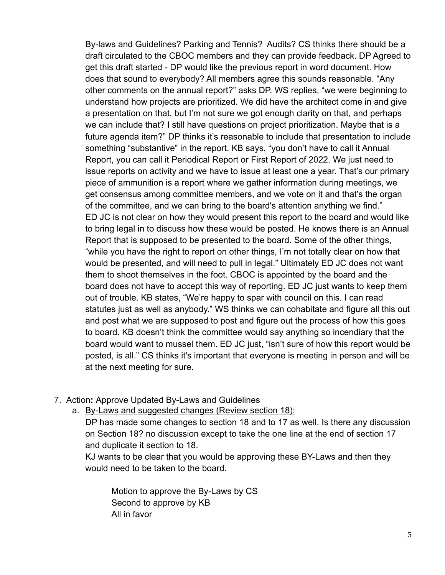By-laws and Guidelines? Parking and Tennis? Audits? CS thinks there should be a draft circulated to the CBOC members and they can provide feedback. DP Agreed to get this draft started - DP would like the previous report in word document. How does that sound to everybody? All members agree this sounds reasonable. "Any other comments on the annual report?" asks DP. WS replies, "we were beginning to understand how projects are prioritized. We did have the architect come in and give a presentation on that, but I'm not sure we got enough clarity on that, and perhaps we can include that? I still have questions on project prioritization. Maybe that is a future agenda item?" DP thinks it's reasonable to include that presentation to include something "substantive" in the report. KB says, "you don't have to call it Annual Report, you can call it Periodical Report or First Report of 2022. We just need to issue reports on activity and we have to issue at least one a year. That's our primary piece of ammunition is a report where we gather information during meetings, we get consensus among committee members, and we vote on it and that's the organ of the committee, and we can bring to the board's attention anything we find." ED JC is not clear on how they would present this report to the board and would like to bring legal in to discuss how these would be posted. He knows there is an Annual Report that is supposed to be presented to the board. Some of the other things, "while you have the right to report on other things, I'm not totally clear on how that would be presented, and will need to pull in legal." Ultimately ED JC does not want them to shoot themselves in the foot. CBOC is appointed by the board and the board does not have to accept this way of reporting. ED JC just wants to keep them out of trouble. KB states, "We're happy to spar with council on this. I can read statutes just as well as anybody." WS thinks we can cohabitate and figure all this out and post what we are supposed to post and figure out the process of how this goes to board. KB doesn't think the committee would say anything so incendiary that the board would want to mussel them. ED JC just, "isn't sure of how this report would be posted, is all." CS thinks it's important that everyone is meeting in person and will be at the next meeting for sure.

# 7. Action**:** Approve Updated By-Laws and Guidelines

a. By-Laws and suggested changes (Review section 18):

DP has made some changes to section 18 and to 17 as well. Is there any discussion on Section 18? no discussion except to take the one line at the end of section 17 and duplicate it section to 18.

KJ wants to be clear that you would be approving these BY-Laws and then they would need to be taken to the board.

Motion to approve the By-Laws by CS Second to approve by KB All in favor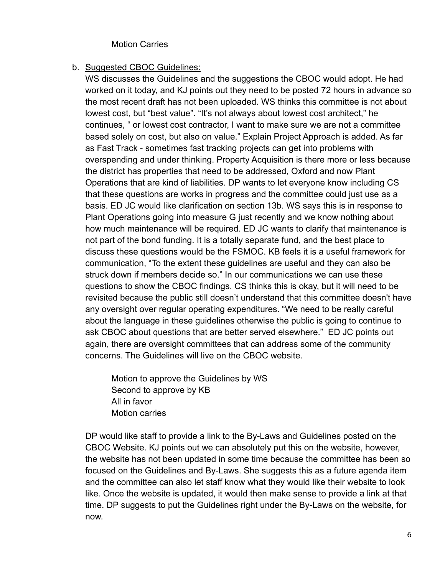### Motion Carries

#### b. Suggested CBOC Guidelines:

WS discusses the Guidelines and the suggestions the CBOC would adopt. He had worked on it today, and KJ points out they need to be posted 72 hours in advance so the most recent draft has not been uploaded. WS thinks this committee is not about lowest cost, but "best value". "It's not always about lowest cost architect," he continues, " or lowest cost contractor, I want to make sure we are not a committee based solely on cost, but also on value." Explain Project Approach is added. As far as Fast Track - sometimes fast tracking projects can get into problems with overspending and under thinking. Property Acquisition is there more or less because the district has properties that need to be addressed, Oxford and now Plant Operations that are kind of liabilities. DP wants to let everyone know including CS that these questions are works in progress and the committee could just use as a basis. ED JC would like clarification on section 13b. WS says this is in response to Plant Operations going into measure G just recently and we know nothing about how much maintenance will be required. ED JC wants to clarify that maintenance is not part of the bond funding. It is a totally separate fund, and the best place to discuss these questions would be the FSMOC. KB feels it is a useful framework for communication, "To the extent these guidelines are useful and they can also be struck down if members decide so." In our communications we can use these questions to show the CBOC findings. CS thinks this is okay, but it will need to be revisited because the public still doesn't understand that this committee doesn't have any oversight over regular operating expenditures. "We need to be really careful about the language in these guidelines otherwise the public is going to continue to ask CBOC about questions that are better served elsewhere." ED JC points out again, there are oversight committees that can address some of the community concerns. The Guidelines will live on the CBOC website.

Motion to approve the Guidelines by WS Second to approve by KB All in favor Motion carries

DP would like staff to provide a link to the By-Laws and Guidelines posted on the CBOC Website. KJ points out we can absolutely put this on the website, however, the website has not been updated in some time because the committee has been so focused on the Guidelines and By-Laws. She suggests this as a future agenda item and the committee can also let staff know what they would like their website to look like. Once the website is updated, it would then make sense to provide a link at that time. DP suggests to put the Guidelines right under the By-Laws on the website, for now.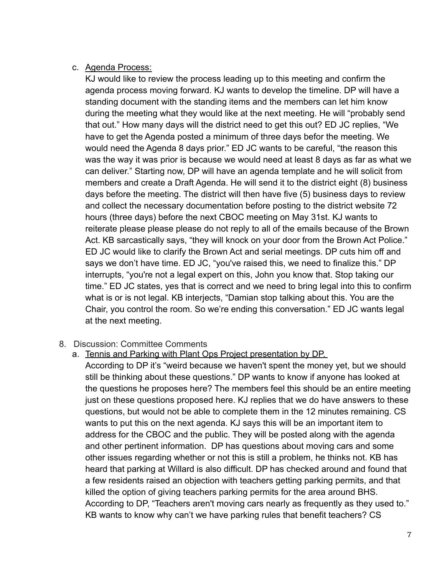# c. Agenda Process:

KJ would like to review the process leading up to this meeting and confirm the agenda process moving forward. KJ wants to develop the timeline. DP will have a standing document with the standing items and the members can let him know during the meeting what they would like at the next meeting. He will "probably send that out." How many days will the district need to get this out? ED JC replies, "We have to get the Agenda posted a minimum of three days befor the meeting. We would need the Agenda 8 days prior." ED JC wants to be careful, "the reason this was the way it was prior is because we would need at least 8 days as far as what we can deliver." Starting now, DP will have an agenda template and he will solicit from members and create a Draft Agenda. He will send it to the district eight (8) business days before the meeting. The district will then have five (5) business days to review and collect the necessary documentation before posting to the district website 72 hours (three days) before the next CBOC meeting on May 31st. KJ wants to reiterate please please please do not reply to all of the emails because of the Brown Act. KB sarcastically says, "they will knock on your door from the Brown Act Police." ED JC would like to clarify the Brown Act and serial meetings. DP cuts him off and says we don't have time. ED JC, "you've raised this, we need to finalize this." DP interrupts, "you're not a legal expert on this, John you know that. Stop taking our time." ED JC states, yes that is correct and we need to bring legal into this to confirm what is or is not legal. KB interjects, "Damian stop talking about this. You are the Chair, you control the room. So we're ending this conversation." ED JC wants legal at the next meeting.

# 8. Discussion: Committee Comments

a. Tennis and Parking with Plant Ops Project presentation by DP.

According to DP it's "weird because we haven't spent the money yet, but we should still be thinking about these questions." DP wants to know if anyone has looked at the questions he proposes here? The members feel this should be an entire meeting just on these questions proposed here. KJ replies that we do have answers to these questions, but would not be able to complete them in the 12 minutes remaining. CS wants to put this on the next agenda. KJ says this will be an important item to address for the CBOC and the public. They will be posted along with the agenda and other pertinent information. DP has questions about moving cars and some other issues regarding whether or not this is still a problem, he thinks not. KB has heard that parking at Willard is also difficult. DP has checked around and found that a few residents raised an objection with teachers getting parking permits, and that killed the option of giving teachers parking permits for the area around BHS. According to DP, "Teachers aren't moving cars nearly as frequently as they used to." KB wants to know why can't we have parking rules that benefit teachers? CS